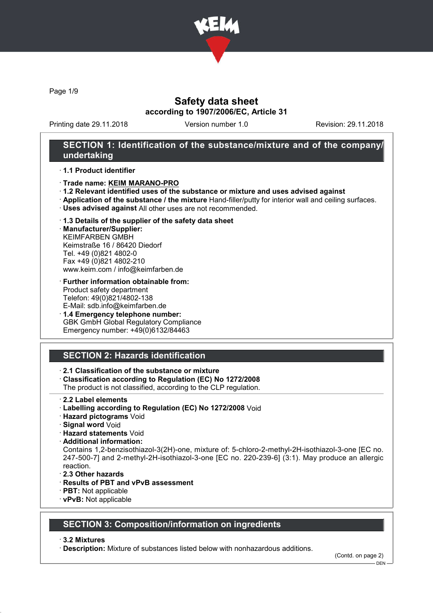

Page 1/9

### Safety data sheet according to 1907/2006/EC, Article 31

Printing date 29.11.2018 Version number 1.0 Revision: 29.11.2018

### SECTION 1: Identification of the substance/mixture and of the company/ undertaking

#### · 1.1 Product identifier

#### · Trade name: KEIM MARANO-PRO

- · 1.2 Relevant identified uses of the substance or mixture and uses advised against
- · Application of the substance / the mixture Hand-filler/putty for interior wall and ceiling surfaces.
- · Uses advised against All other uses are not recommended.

#### · 1.3 Details of the supplier of the safety data sheet

· Manufacturer/Supplier: KEIMFARBEN GMBH Keimstraße 16 / 86420 Diedorf Tel. +49 (0)821 4802-0 Fax +49 (0)821 4802-210 www.keim.com / info@keimfarben.de

- · Further information obtainable from: Product safety department Telefon: 49(0)821/4802-138 E-Mail: sdb.info@keimfarben.de
- · 1.4 Emergency telephone number: GBK GmbH Global Regulatory Compliance Emergency number: +49(0)6132/84463

### SECTION 2: Hazards identification

### · 2.1 Classification of the substance or mixture

· Classification according to Regulation (EC) No 1272/2008

The product is not classified, according to the CLP regulation.

- · 2.2 Label elements
- · Labelling according to Regulation (EC) No 1272/2008 Void
- · Hazard pictograms Void
- · Signal word Void
- · Hazard statements Void
- · Additional information:

Contains 1,2-benzisothiazol-3(2H)-one, mixture of: 5-chloro-2-methyl-2H-isothiazol-3-one [EC no. 247-500-7] and 2-methyl-2H-isothiazol-3-one [EC no. 220-239-6] (3:1). May produce an allergic reaction.

- · 2.3 Other hazards
- · Results of PBT and vPvB assessment
- · PBT: Not applicable
- · vPvB: Not applicable

### SECTION 3: Composition/information on ingredients

#### · 3.2 Mixtures

· Description: Mixture of substances listed below with nonhazardous additions.

(Contd. on page 2)

DEN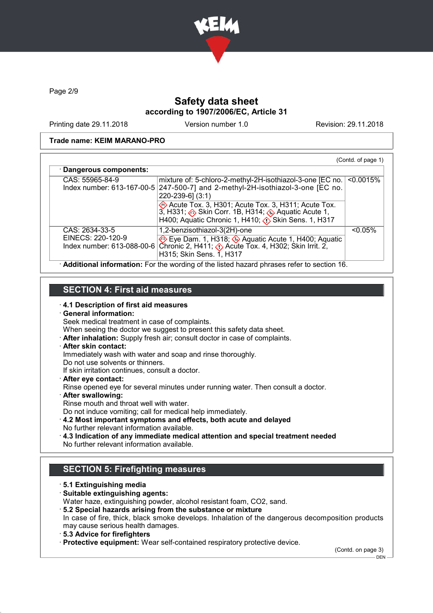

Page 2/9

### Safety data sheet according to 1907/2006/EC, Article 31

Printing date 29.11.2018 Version number 1.0 Revision: 29.11.2018

#### Trade name: KEIM MARANO-PRO

| CAS: 55965-84-9                     | mixture of: 5-chloro-2-methyl-2H-isothiazol-3-one [EC no.  <br>Index number: 613-167-00-5 $247-500-7$ and 2-methyl-2H-isothiazol-3-one [EC no.                                    | $< 0.0015\%$ |
|-------------------------------------|-----------------------------------------------------------------------------------------------------------------------------------------------------------------------------------|--------------|
|                                     | $220 - 239 - 6$ ] (3:1)                                                                                                                                                           |              |
|                                     | Acute Tox. 3, H301; Acute Tox. 3, H311; Acute Tox.<br>3, H331; Skin Corr. 1B, H314; Aquatic Acute 1,<br>H400; Aquatic Chronic 1, H410; $\langle \cdot \rangle$ Skin Sens. 1, H317 |              |
| CAS: 2634-33-5<br>EINECS: 220-120-9 | 1,2-benzisothiazol-3(2H)-one                                                                                                                                                      | $< 0.05\%$   |
|                                     | Eye Dam. 1, H318; Aquatic Acute 1, H400; Aquatic<br>Index number: 613-088-00-6 Chronic 2, H411; $\Diamond$ Acute Tox. 4, H302; Skin Irrit. 2,<br>H315; Skin Sens. 1, H317         |              |

### SECTION 4: First aid measures

# · 4.1 Description of first aid measures

### · General information:

Seek medical treatment in case of complaints.

When seeing the doctor we suggest to present this safety data sheet.

· After inhalation: Supply fresh air; consult doctor in case of complaints.

### · After skin contact:

Immediately wash with water and soap and rinse thoroughly.

Do not use solvents or thinners.

If skin irritation continues, consult a doctor.

· After eye contact:

Rinse opened eye for several minutes under running water. Then consult a doctor.

- · After swallowing:
- Rinse mouth and throat well with water.
- Do not induce vomiting; call for medical help immediately.
- · 4.2 Most important symptoms and effects, both acute and delayed No further relevant information available.
- · 4.3 Indication of any immediate medical attention and special treatment needed No further relevant information available.

### SECTION 5: Firefighting measures

### · 5.1 Extinguishing media

· Suitable extinguishing agents:

Water haze, extinguishing powder, alcohol resistant foam, CO2, sand.

· 5.2 Special hazards arising from the substance or mixture

In case of fire, thick, black smoke develops. Inhalation of the dangerous decomposition products may cause serious health damages.

### · 5.3 Advice for firefighters

· Protective equipment: Wear self-contained respiratory protective device.

(Contd. on page 3)  $-$  DEN -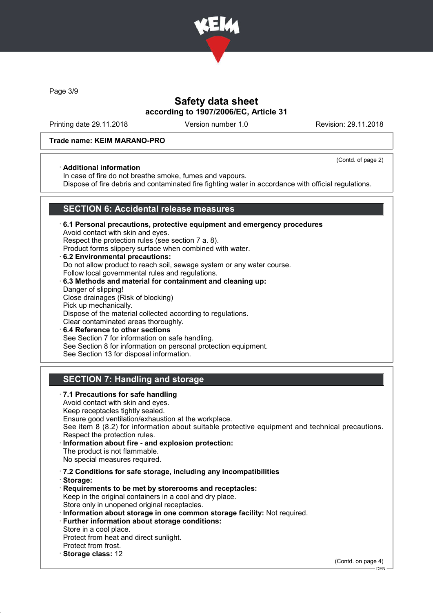

Page 3/9

### Safety data sheet according to 1907/2006/EC, Article 31

Printing date 29.11.2018 Version number 1.0 Revision: 29.11.2018

(Contd. of page 2)

### Trade name: KEIM MARANO-PRO

### · Additional information

In case of fire do not breathe smoke, fumes and vapours.

Dispose of fire debris and contaminated fire fighting water in accordance with official regulations.

### SECTION 6: Accidental release measures

- · 6.1 Personal precautions, protective equipment and emergency procedures Avoid contact with skin and eyes. Respect the protection rules (see section 7 a. 8). Product forms slippery surface when combined with water. · 6.2 Environmental precautions: Do not allow product to reach soil, sewage system or any water course.
- Follow local governmental rules and regulations. · 6.3 Methods and material for containment and cleaning up:
- Danger of slipping! Close drainages (Risk of blocking) Pick up mechanically. Dispose of the material collected according to regulations. Clear contaminated areas thoroughly. 6.4 Reference to other sections
- See Section 7 for information on safe handling. See Section 8 for information on personal protection equipment. See Section 13 for disposal information.

### SECTION 7: Handling and storage

· 7.1 Precautions for safe handling Avoid contact with skin and eyes. Keep receptacles tightly sealed. Ensure good ventilation/exhaustion at the workplace. See item 8 (8.2) for information about suitable protective equipment and technical precautions. Respect the protection rules. Information about fire - and explosion protection: The product is not flammable. No special measures required. · 7.2 Conditions for safe storage, including any incompatibilities · Storage: · Requirements to be met by storerooms and receptacles: Keep in the original containers in a cool and dry place. Store only in unopened original receptacles. · Information about storage in one common storage facility: Not required. · Further information about storage conditions: Store in a cool place. Protect from heat and direct sunlight. Protect from frost. · Storage class: 12 (Contd. on page 4)

 $-$  DEN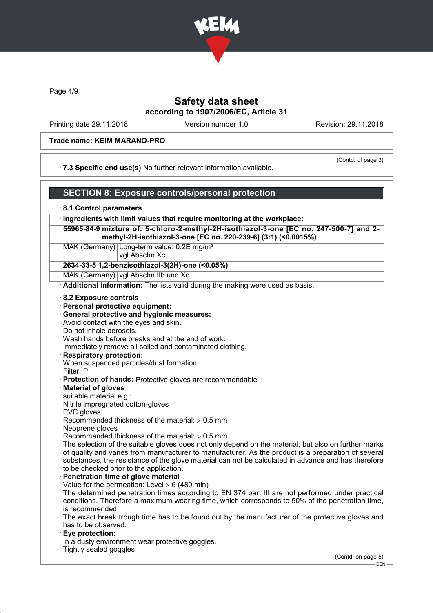

Page 4/9

### Safety data sheet according to 1907/2006/EC, Article 31

Printing date 29.11.2018 Version number 1.0 Revision: 29.11.2018

#### Trade name: KEIM MARANO-PRO

· 7.3 Specific end use(s) No further relevant information available.

(Contd. of page 3)

#### SECTION 8: Exposure controls/personal protection · 8.1 Control parameters · Ingredients with limit values that require monitoring at the workplace: 55965-84-9 mixture of: 5-chloro-2-methyl-2H-isothiazol-3-one [EC no. 247-500-7] and 2 methyl-2H-isothiazol-3-one [EC no. 220-239-6] (3:1) (<0.0015%) MAK (Germany) Long-term value: 0.2E mg/m<sup>3</sup> vgl.Abschn.Xc 2634-33-5 1,2-benzisothiazol-3(2H)-one (<0.05%) MAK (Germany) vgl.Abschn.IIb und Xc Additional information: The lists valid during the making were used as basis. · 8.2 Exposure controls · Personal protective equipment: · General protective and hygienic measures: Avoid contact with the eyes and skin. Do not inhale aerosols. Wash hands before breaks and at the end of work. Immediately remove all soiled and contaminated clothing. · Respiratory protection: When suspended particles/dust formation: Filter: P · Protection of hands: Protective gloves are recommendable · Material of gloves suitable material e.g.: Nitrile impregnated cotton-gloves PVC gloves Recommended thickness of the material:  $> 0.5$  mm Neoprene gloves Recommended thickness of the material:  $\geq 0.5$  mm The selection of the suitable gloves does not only depend on the material, but also on further marks of quality and varies from manufacturer to manufacturer. As the product is a preparation of several substances, the resistance of the glove material can not be calculated in advance and has therefore to be checked prior to the application. Penetration time of glove material Value for the permeation: Level  $> 6$  (480 min) The determined penetration times according to EN 374 part III are not performed under practical conditions. Therefore a maximum wearing time, which corresponds to 50% of the penetration time, is recommended. The exact break trough time has to be found out by the manufacturer of the protective gloves and has to be observed. Eye protection: In a dusty environment wear protective goggles. Tightly sealed goggles (Contd. on page 5)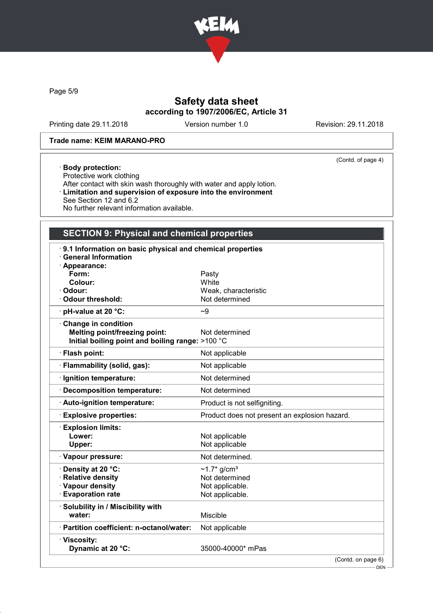

Page 5/9

### Safety data sheet according to 1907/2006/EC, Article 31

Printing date 29.11.2018 Version number 1.0 Revision: 29.11.2018

(Contd. of page 4)

### Trade name: KEIM MARANO-PRO

### · Body protection:

Protective work clothing After contact with skin wash thoroughly with water and apply lotion. · Limitation and supervision of exposure into the environment See Section 12 and 6.2 No further relevant information available.

## SECTION 9: Physical and chemical properties

| 9.1 Information on basic physical and chemical properties<br><b>General Information</b><br>Appearance: |                                               |
|--------------------------------------------------------------------------------------------------------|-----------------------------------------------|
| Form:                                                                                                  | Pasty                                         |
| Colour:                                                                                                | White                                         |
| Odour:                                                                                                 | Weak, characteristic                          |
| <b>Odour threshold:</b>                                                                                | Not determined                                |
| · pH-value at 20 °C:                                                                                   | ~1                                            |
| Change in condition                                                                                    |                                               |
| <b>Melting point/freezing point:</b>                                                                   | Not determined                                |
| Initial boiling point and boiling range: >100 °C                                                       |                                               |
| · Flash point:                                                                                         | Not applicable                                |
| · Flammability (solid, gas):                                                                           | Not applicable                                |
| · Ignition temperature:                                                                                | Not determined                                |
| · Decomposition temperature:                                                                           | Not determined                                |
| Auto-ignition temperature:                                                                             | Product is not selfigniting.                  |
| <b>Explosive properties:</b>                                                                           | Product does not present an explosion hazard. |
| <b>Explosion limits:</b>                                                                               |                                               |
| Lower:                                                                                                 | Not applicable                                |
| Upper:                                                                                                 | Not applicable                                |
| · Vapour pressure:                                                                                     | Not determined.                               |
| <b>Oensity at 20 °C:</b>                                                                               | $\sim$ 1.7* g/cm <sup>3</sup>                 |
| · Relative density                                                                                     | Not determined                                |
| · Vapour density                                                                                       | Not applicable.                               |
| <b>Evaporation rate</b>                                                                                | Not applicable.                               |
| · Solubility in / Miscibility with                                                                     |                                               |
| water:                                                                                                 | <b>Miscible</b>                               |
| · Partition coefficient: n-octanol/water:                                                              | Not applicable                                |
| · Viscosity:                                                                                           |                                               |
| Dynamic at 20 °C:                                                                                      | 35000-40000* mPas                             |
|                                                                                                        | $(Contd)$ on page $\beta$ )                   |

(Contd. on page 6)

 $-$  DEN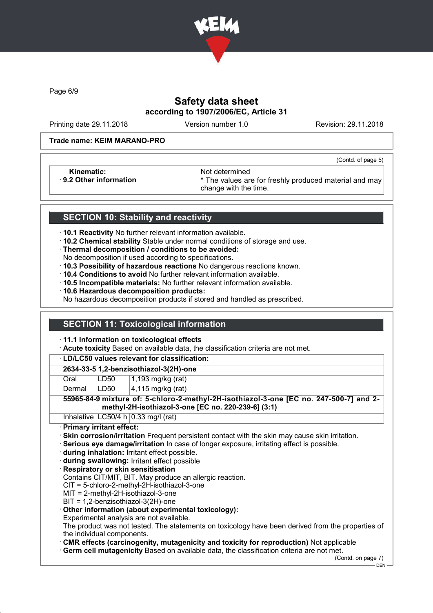

Page 6/9

### Safety data sheet according to 1907/2006/EC, Article 31

Printing date 29.11.2018 Version number 1.0 Revision: 29.11.2018

(Contd. of page 5)

#### Trade name: KEIM MARANO-PRO

Kinematic: Not determined<br>B.2 Other information **Accord 1998** The values and the values are set of the values and the values are set of the values are set of the values are set of the values are set of the values are set o

\* The values are for freshly produced material and may change with the time.

### SECTION 10: Stability and reactivity

- · 10.1 Reactivity No further relevant information available.
- · 10.2 Chemical stability Stable under normal conditions of storage and use.
- · Thermal decomposition / conditions to be avoided:
- No decomposition if used according to specifications.
- · 10.3 Possibility of hazardous reactions No dangerous reactions known.
- · 10.4 Conditions to avoid No further relevant information available.
- · 10.5 Incompatible materials: No further relevant information available.
- · 10.6 Hazardous decomposition products:

No hazardous decomposition products if stored and handled as prescribed.

### SECTION 11: Toxicological information

#### · 11.1 Information on toxicological effects

· Acute toxicity Based on available data, the classification criteria are not met.

#### · LD/LC50 values relevant for classification:

### 2634-33-5 1,2-benzisothiazol-3(2H)-one

Oral **LD50** 1,193 mg/kg (rat)

Dermal  $|LD50|$   $|4,115$  mg/kg (rat)

### 55965-84-9 mixture of: 5-chloro-2-methyl-2H-isothiazol-3-one [EC no. 247-500-7] and 2 methyl-2H-isothiazol-3-one [EC no. 220-239-6] (3:1)

Inhalative  $LC50/4 h 0.33$  mg/l (rat)

### · Primary irritant effect:

- · Skin corrosion/irritation Frequent persistent contact with the skin may cause skin irritation.
- · Serious eye damage/irritation In case of longer exposure, irritating effect is possible.
- · during inhalation: Irritant effect possible.
- · during swallowing: Irritant effect possible

### · Respiratory or skin sensitisation

Contains CIT/MIT, BIT. May produce an allergic reaction.

CIT = 5-chloro-2-methyl-2H-isothiazol-3-one

- MIT = 2-methyl-2H-isothiazol-3-one
- BIT = 1,2-benzisothiazol-3(2H)-one

### · Other information (about experimental toxicology):

Experimental analysis are not available.

The product was not tested. The statements on toxicology have been derived from the properties of the individual components.

· CMR effects (carcinogenity, mutagenicity and toxicity for reproduction) Not applicable

· Germ cell mutagenicity Based on available data, the classification criteria are not met.

(Contd. on page 7)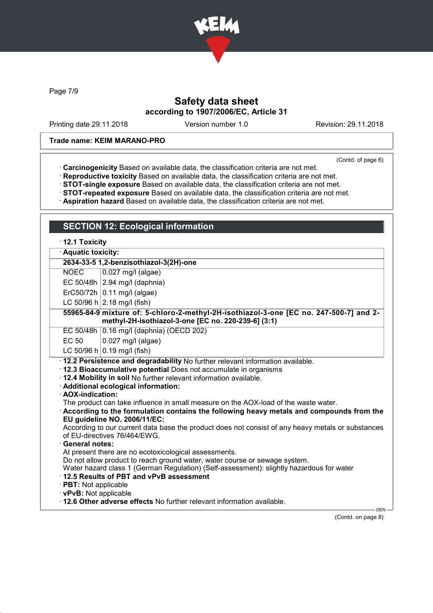

Page 7/9

### Safety data sheet according to 1907/2006/EC, Article 31

Printing date 29.11.2018 Version number 1.0 Revision: 29.11.2018

#### Trade name: KEIM MARANO-PRO

SECTION 12: Ecological information

(Contd. of page 6)

- · Carcinogenicity Based on available data, the classification criteria are not met.
- · Reproductive toxicity Based on available data, the classification criteria are not met.
- · STOT-single exposure Based on available data, the classification criteria are not met.
- · STOT-repeated exposure Based on available data, the classification criteria are not met.
- · Aspiration hazard Based on available data, the classification criteria are not met.

|                                                                                               | $\cdot$ 12.1 Toxicity                                                                                                                                                                                                                                                                                                                                                                                                                                                                                                                                                                                                                                                                                                                                                                                                                                                                           |  |  |
|-----------------------------------------------------------------------------------------------|-------------------------------------------------------------------------------------------------------------------------------------------------------------------------------------------------------------------------------------------------------------------------------------------------------------------------------------------------------------------------------------------------------------------------------------------------------------------------------------------------------------------------------------------------------------------------------------------------------------------------------------------------------------------------------------------------------------------------------------------------------------------------------------------------------------------------------------------------------------------------------------------------|--|--|
| · Aquatic toxicity:                                                                           |                                                                                                                                                                                                                                                                                                                                                                                                                                                                                                                                                                                                                                                                                                                                                                                                                                                                                                 |  |  |
| 2634-33-5 1,2-benzisothiazol-3(2H)-one                                                        |                                                                                                                                                                                                                                                                                                                                                                                                                                                                                                                                                                                                                                                                                                                                                                                                                                                                                                 |  |  |
| <b>NOEC</b>                                                                                   | $0.027$ mg/l (algae)                                                                                                                                                                                                                                                                                                                                                                                                                                                                                                                                                                                                                                                                                                                                                                                                                                                                            |  |  |
|                                                                                               | EC 50/48h $ 2.94$ mg/l (daphnia)                                                                                                                                                                                                                                                                                                                                                                                                                                                                                                                                                                                                                                                                                                                                                                                                                                                                |  |  |
|                                                                                               | $ErC50/72h$ 0.11 mg/l (algae)                                                                                                                                                                                                                                                                                                                                                                                                                                                                                                                                                                                                                                                                                                                                                                                                                                                                   |  |  |
|                                                                                               | LC 50/96 h $ 2.18 \text{ mg/l}$ (fish)                                                                                                                                                                                                                                                                                                                                                                                                                                                                                                                                                                                                                                                                                                                                                                                                                                                          |  |  |
|                                                                                               | 55965-84-9 mixture of: 5-chloro-2-methyl-2H-isothiazol-3-one [EC no. 247-500-7] and 2-<br>methyl-2H-isothiazol-3-one [EC no. 220-239-6] (3:1)                                                                                                                                                                                                                                                                                                                                                                                                                                                                                                                                                                                                                                                                                                                                                   |  |  |
|                                                                                               | EC 50/48h 0.16 mg/l (daphnia) (OECD 202)                                                                                                                                                                                                                                                                                                                                                                                                                                                                                                                                                                                                                                                                                                                                                                                                                                                        |  |  |
| EC 50                                                                                         | $0.027$ mg/l (algae)                                                                                                                                                                                                                                                                                                                                                                                                                                                                                                                                                                                                                                                                                                                                                                                                                                                                            |  |  |
|                                                                                               | LC 50/96 h $ 0.19$ mg/l (fish)                                                                                                                                                                                                                                                                                                                                                                                                                                                                                                                                                                                                                                                                                                                                                                                                                                                                  |  |  |
| · AOX-indication:<br><b>General notes:</b><br>· PBT: Not applicable<br>· vPvB: Not applicable | · 12.3 Bioaccumulative potential Does not accumulate in organisms<br>. 12.4 Mobility in soil No further relevant information available.<br>· Additional ecological information:<br>The product can take influence in small measure on the AOX-load of the waste water.<br>According to the formulation contains the following heavy metals and compounds from the<br>EU guideline NO. 2006/11/EC:<br>According to our current data base the product does not consist of any heavy metals or substances<br>of EU-directives 76/464/EWG.<br>At present there are no ecotoxicological assessments.<br>Do not allow product to reach ground water, water course or sewage system.<br>Water hazard class 1 (German Regulation) (Self-assessment): slightly hazardous for water<br>12.5 Results of PBT and vPvB assessment<br>. 12.6 Other adverse effects No further relevant information available. |  |  |

(Contd. on page 8)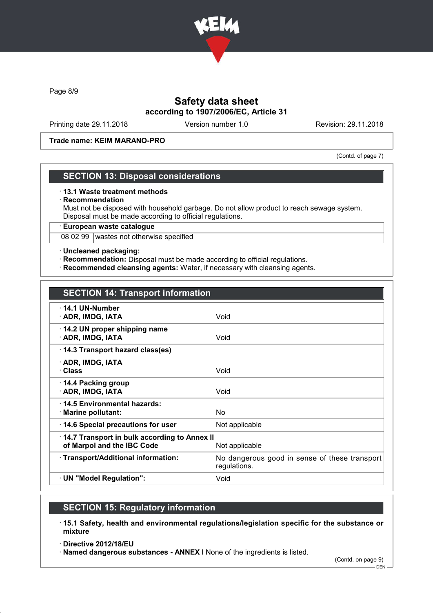

Page 8/9

### Safety data sheet according to 1907/2006/EC, Article 31

Printing date 29.11.2018 Version number 1.0 Revision: 29.11.2018

#### Trade name: KEIM MARANO-PRO

(Contd. of page 7)

### SECTION 13: Disposal considerations

#### · 13.1 Waste treatment methods

#### · Recommendation

Must not be disposed with household garbage. Do not allow product to reach sewage system. Disposal must be made according to official regulations.

· European waste catalogue

08 02 99 wastes not otherwise specified

#### · Uncleaned packaging:

- · Recommendation: Disposal must be made according to official regulations.
- · Recommended cleansing agents: Water, if necessary with cleansing agents.

| <b>SECTION 14: Transport information</b>                                                     |                                                               |
|----------------------------------------------------------------------------------------------|---------------------------------------------------------------|
| $\cdot$ 14.1 UN-Number<br>· ADR, IMDG, IATA                                                  | Void                                                          |
| 14.2 UN proper shipping name<br>· ADR, IMDG, IATA                                            | Void                                                          |
| 14.3 Transport hazard class(es)                                                              |                                                               |
| · ADR, IMDG, IATA<br>· Class                                                                 | Void                                                          |
| $\cdot$ 14.4 Packing group<br>· ADR, IMDG, IATA                                              | Void                                                          |
| ⋅14.5 Environmental hazards:<br>$\cdot$ Marine pollutant:                                    | No.                                                           |
| 14.6 Special precautions for user                                                            | Not applicable                                                |
| 14.7 Transport in bulk according to Annex II<br>of Marpol and the IBC Code<br>Not applicable |                                                               |
| · Transport/Additional information:                                                          | No dangerous good in sense of these transport<br>regulations. |
| · UN "Model Regulation":                                                                     | Void                                                          |

### SECTION 15: Regulatory information

- · 15.1 Safety, health and environmental regulations/legislation specific for the substance or mixture
- · Directive 2012/18/EU

· Named dangerous substances - ANNEX I None of the ingredients is listed.

(Contd. on page 9)

<sup>-</sup> DEN